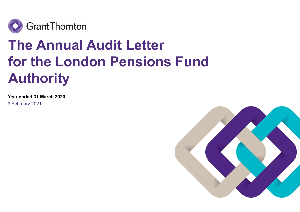

# The Annual Audit Letter for the London Pensions Fund Authority

Year ended 31 March 2020 9 February 2021

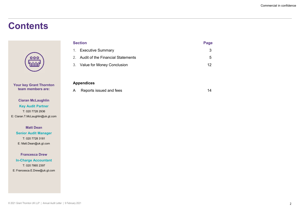### **Contents**



Your key Grant Thornton

Ciaran McLaughlin Key Audit Partner T: 020 7728 2936 E: Ciaran.T.McLaughlin@uk.gt.com

Matt Dean

Senior Audit Manager T: 020 7728 3181 E: Matt.Dean@uk.gt.com

Francesca Drew In-Charge Accountant T: 020 7865 2397 E: Francesca.E.Drew@uk.gt.com

|              |                                      |            | Commercial in confidence |
|--------------|--------------------------------------|------------|--------------------------|
|              |                                      |            |                          |
|              |                                      |            |                          |
|              |                                      |            |                          |
|              | <b>Section</b>                       | Page       |                          |
|              | 1. Executive Summary                 | $\sqrt{3}$ |                          |
|              | 2. Audit of the Financial Statements | $\sqrt{5}$ |                          |
|              | 3. Value for Money Conclusion        | 12         |                          |
|              |                                      |            |                          |
|              | <b>Appendices</b>                    |            |                          |
| $\mathsf{A}$ | Reports issued and fees              | 14         |                          |
|              |                                      |            |                          |
|              |                                      |            |                          |
|              |                                      |            |                          |

team members are: A Reports issued and fees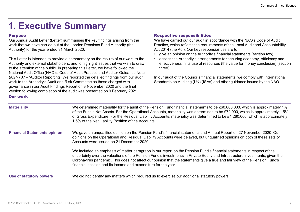## 1. Executive Summary

### Purpose

Our Annual Audit Letter (Letter) summarises the key findings arising from the work that we have carried out at the London Pensions Fund Authority (the Authority) for the year ended 31 March 2020.

This Letter is intended to provide a commentary on the results of our work to the **ext** assess the Authority's arrangements for securing economy, efficiency and Authority and external stakeholders, and to highlight issues that we wish to draw to the attention of the public. In preparing this Letter, we have followed the National Audit Office (NAO)'s Code of Audit Practice and Auditor Guidance Note **1. Executive Summary**<br>
Purpose<br>
Our Annual Audit Letter (Letter) summarises the key findings arising from the<br>
Our Annual Audit Letter (Letter) summarises the key findings arising from the<br>
We have car<br>
work that we have work to the Authority's Audit and Risk Committee as those charged with governance in our Audit Findings Report on 3 November 2020 and the final **Executive Summarises the key findings ansing from the Respective responsibilities**<br>
Our Amual Audit Letter (Letter) summarises the key findings arising from the We have carried out our audit in accord<br>
November that we ha version following completion of the audit was presented on 9 February 2021.

Commercial in confidence<br> **Respective responsibilities**<br>
We have carried out our audit in accordance with the NAO's Code of Audit<br>
Practice, which reflects the requirements of the Local Audit and Accountability<br>
Act 2014 ( We have carried out our audit in accordance with the NAO's Code of Audit Practice, which reflects the requirements of the Local Audit and Accountability Act 2014 (the Act). Our key responsibilities are to:

- 
- **Example 12**<br> **Example 3**<br> **Example 2018 Considering and the AUT AUTE AUTH CONSTAND PROCES (Section the AUTE PROCES)<br>
Act 2014 (the Act). Our key responsibilities are to:<br>**  $\cdot$  **give an opinion on the Authority's financial** Commercial in confidence<br> **Respective responsibilities**<br>
We have carried out our audit in accordance with the NAO's Code of Audit<br>
Practice, which reflects the requirements of the Local Audit and Accountability<br>
Act 2014 ( effectiveness in its use of resources (the value for money conclusion) (section three).

### Our work

| Authority) for the year ended 31 March 2020.<br><b>Our work</b> | Our Annual Audit Letter (Letter) summarises the key findings arising from the<br>work that we have carried out at the London Pensions Fund Authority (the<br>This Letter is intended to provide a commentary on the results of our work to the<br>Authority and external stakeholders, and to highlight issues that we wish to draw<br>to the attention of the public. In preparing this Letter, we have followed the<br>National Audit Office (NAO)'s Code of Audit Practice and Auditor Guidance Note<br>(AGN) 07 - 'Auditor Reporting'. We reported the detailed findings from our audit<br>work to the Authority's Audit and Risk Committee as those charged with<br>governance in our Audit Findings Report on 3 November 2020 and the final<br>version following completion of the audit was presented on 9 February 2021. | Practice, which reflects the requirements of the Local Audit and Accountability<br>Act 2014 (the Act). Our key responsibilities are to:<br>• give an opinion on the Authority's financial statements (section two)<br>assess the Authority's arrangements for securing economy, efficiency and<br>effectiveness in its use of resources (the value for money conclusion) (section<br>three).<br>In our audit of the Council's financial statements, we comply with International<br>Standards on Auditing (UK) (ISAs) and other guidance issued by the NAO.                                                                                  |  |  |
|-----------------------------------------------------------------|----------------------------------------------------------------------------------------------------------------------------------------------------------------------------------------------------------------------------------------------------------------------------------------------------------------------------------------------------------------------------------------------------------------------------------------------------------------------------------------------------------------------------------------------------------------------------------------------------------------------------------------------------------------------------------------------------------------------------------------------------------------------------------------------------------------------------------|----------------------------------------------------------------------------------------------------------------------------------------------------------------------------------------------------------------------------------------------------------------------------------------------------------------------------------------------------------------------------------------------------------------------------------------------------------------------------------------------------------------------------------------------------------------------------------------------------------------------------------------------|--|--|
| <b>Materiality</b>                                              | 1.5% of the Net Liability Position of the Accounts.                                                                                                                                                                                                                                                                                                                                                                                                                                                                                                                                                                                                                                                                                                                                                                              | We determined materiality for the audit of the Pension Fund financial statements to be £60,000,000, which is approximately 1%<br>of the Fund's Net Assets. For the Operational Accounts, materiality was determined to be £72,900, which is approximately 1.5%<br>of Gross Expenditure. For the Residual Liability Accounts, materiality was determined to be £1,280,000, which is approximately                                                                                                                                                                                                                                             |  |  |
| <b>Financial Statements opinion</b>                             | Accounts were issued on 21 December 2020.<br>financial position and its income and expenditure for the year.                                                                                                                                                                                                                                                                                                                                                                                                                                                                                                                                                                                                                                                                                                                     | We gave an unqualified opinion on the Pension Fund's financial statements and Annual Report on 27 November 2020. Our<br>opinions on the Operational and Residual Liability Accounts were delayed, but unqualified opinions on both of these sets of<br>We included an emphasis of matter paragraph in our report on the Pension Fund's financial statements in respect of the<br>uncertainty over the valuations of the Pension Fund's investments in Private Equity and Infrastructure investments, given the<br>Coronavirus pandemic. This does not affect our opinion that the statements give a true and fair view of the Pension Fund's |  |  |
| <b>Use of statutory powers</b>                                  |                                                                                                                                                                                                                                                                                                                                                                                                                                                                                                                                                                                                                                                                                                                                                                                                                                  | We did not identify any matters which required us to exercise our additional statutory powers.                                                                                                                                                                                                                                                                                                                                                                                                                                                                                                                                               |  |  |
|                                                                 |                                                                                                                                                                                                                                                                                                                                                                                                                                                                                                                                                                                                                                                                                                                                                                                                                                  |                                                                                                                                                                                                                                                                                                                                                                                                                                                                                                                                                                                                                                              |  |  |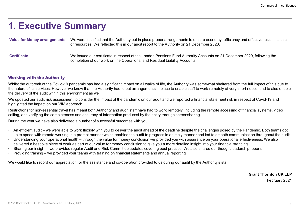## 1. Executive Summary

| Commercial in confidence                                                                                                                                                                                                                                             |                                                                                                                                                                                                                                                                                                                                                                                                                                                                                                                                                                                                                                                                                                                                                                                                                                                                                                                           |  |  |  |  |
|----------------------------------------------------------------------------------------------------------------------------------------------------------------------------------------------------------------------------------------------------------------------|---------------------------------------------------------------------------------------------------------------------------------------------------------------------------------------------------------------------------------------------------------------------------------------------------------------------------------------------------------------------------------------------------------------------------------------------------------------------------------------------------------------------------------------------------------------------------------------------------------------------------------------------------------------------------------------------------------------------------------------------------------------------------------------------------------------------------------------------------------------------------------------------------------------------------|--|--|--|--|
| <b>1. Executive Summary</b>                                                                                                                                                                                                                                          |                                                                                                                                                                                                                                                                                                                                                                                                                                                                                                                                                                                                                                                                                                                                                                                                                                                                                                                           |  |  |  |  |
| <b>Value for Money arrangements</b><br>We were satisfied that the Authority put in place proper arrangements to ensure economy, efficiency and effectiveness in its use<br>of resources. We reflected this in our audit report to the Authority on 21 December 2020. |                                                                                                                                                                                                                                                                                                                                                                                                                                                                                                                                                                                                                                                                                                                                                                                                                                                                                                                           |  |  |  |  |
| <b>Certificate</b>                                                                                                                                                                                                                                                   | We issued our certificate in respect of the London Pensions Fund Authority Accounts on 21 December 2020, following the<br>completion of our work on the Operational and Residual Liability Accounts.                                                                                                                                                                                                                                                                                                                                                                                                                                                                                                                                                                                                                                                                                                                      |  |  |  |  |
| <b>Working with the Authority</b>                                                                                                                                                                                                                                    |                                                                                                                                                                                                                                                                                                                                                                                                                                                                                                                                                                                                                                                                                                                                                                                                                                                                                                                           |  |  |  |  |
| the delivery of the audit within this environment as well.                                                                                                                                                                                                           | Whilst the outbreak of the Covid-19 pandemic has had a significant impact on all walks of life, the Authority was somewhat sheltered from the full impact of this due to<br>the nature of its services. However we know that the Authority had to put arrangements in place to enable staff to work remotely at very short notice, and to also enable                                                                                                                                                                                                                                                                                                                                                                                                                                                                                                                                                                     |  |  |  |  |
| highlighted the impact on our VfM approach.                                                                                                                                                                                                                          | We updated our audit risk assessment to consider the impact of the pandemic on our audit and we reported a financial statement risk in respect of Covid-19 and                                                                                                                                                                                                                                                                                                                                                                                                                                                                                                                                                                                                                                                                                                                                                            |  |  |  |  |
|                                                                                                                                                                                                                                                                      | Restrictions for non-essential travel has meant both Authority and audit staff have had to work remotely, including the remote accessing of financial systems, video<br>calling, and verifying the completeness and accuracy of information produced by the entity through screensharing.                                                                                                                                                                                                                                                                                                                                                                                                                                                                                                                                                                                                                                 |  |  |  |  |
|                                                                                                                                                                                                                                                                      | During the year we have also delivered a number of successful outcomes with you:                                                                                                                                                                                                                                                                                                                                                                                                                                                                                                                                                                                                                                                                                                                                                                                                                                          |  |  |  |  |
|                                                                                                                                                                                                                                                                      | • An efficient audit – we were able to work flexibly with you to deliver the audit ahead of the deadline despite the challenges posed by the Pandemic. Both teams got<br>up to speed with remote working in a prompt manner which enabled the audit to progress in a timely manner and led to smooth communication throughout the audit.<br>• Understanding your operational health – through the value for money conclusion we provided you with assurance on your operational effectiveness. We also<br>delivered a bespoke piece of work as part of our value for money conclusion to give you a more detailed insight into your financial standing.<br>• Sharing our insight – we provided regular Audit and Risk Committee updates covering best practice. We also shared our thought leadership reports<br>• Providing training – we provided your teams with training on financial statements and annual reporting |  |  |  |  |
|                                                                                                                                                                                                                                                                      | We would like to record our eppreciation for the escistance and se eperation provided to us during our qualit by the Authority's staff                                                                                                                                                                                                                                                                                                                                                                                                                                                                                                                                                                                                                                                                                                                                                                                    |  |  |  |  |

Whilst the outbreak of the Covid-19 pandemic has had a significant impact on all walks of life, the Authority was somewhat sheltered from the full impact of this due to<br>the nature of its services. However we know that the the delivery of the audit within this environment as well. ersuncials<br>
• Sharing our insight the Authority<br>
Working with the Authority<br>
Working with the Authority<br>
Whilst the cubicask of the Covid-19 pandemic has had a significant impact on all walks of life, the Authority was so competion of our work on the Operational and Residual Cabinty Accounts.<br>
Whilst the outbreak of the Covid-19 pandemic has had a significant impact on all walks of life, the Authority was somewhat sheltered from the<br>
the na

- up to speed with remote working in a prompt manner which enabled the audit to progress in a timely manner and led to smooth communication throughout the audit.
- delivered a bespoke piece of work as part of our value for money conclusion to give you a more detailed insight into your financial standing.
- 
- 

We would like to record our appreciation for the assistance and co-operation provided to us during our audit by the Authority's staff.

Grant Thornton UK LLP

February 2021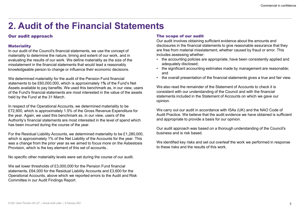### Our audit approach

### **Materiality**

In our audit of the Council's financial statements, we use the concept of materiality to determine the nature, timing and extent of our work, and in **the controlled and in** materiality as the size of the **the controlled and** the accounting policies are appropriate, have been consistently applied evaluating the results of our work. We define materiality as the size of the misstatement in the financial statements that would lead a reasonably **the sequately disclosed;**<br>knowledgeable person to change or influence their economic decisions **but a** the significant accounting estimates made by man knowledgeable person to change or influence their economic decisions.<br>and

statements to be £60,000,000, which is approximately 1% of the Fund's Net Assets available to pay benefits. We used this benchmark as, in our view, users of the Fund's financial statements are most interested in the value of the assets held by the Fund at the 31 March.

In respect of the Operational Accounts, we determined materiality to be £72,900, which is approximately 1.5% of the Gross Revenue Expenditure for the year. Again, we used this benchmark as, in our view, users of the Authority's financial statements are most interested in the level of spend which has been incurred during the course of the year.

For the Residual Liability Accounts, we determined materiality to be £1,280,000, which is approximately 1% of the Net Liability of the Accounts for the year. This was a change from the prior year as we aimed to focus more on the Asbestosis Provision, which is the key element of this set of accounts..

No specific other materiality levels were set during the course of our audit.

We set lower thresholds of £3,000,000 for the Pension Fund financial statements, £64,000 for the Residual Liability Accounts and £3,600 for the Operational Accounts, above which we reported errors to the Audit and Risk Committee in our Audit Findings Report.

#### The scope of our audit

Our audit involves obtaining sufficient evidence about the amounts and disclosures in the financial statements to give reasonable assurance that they are free from material misstatement, whether caused by fraud or error. This includes assessing whether: • the **cope of our audit**<br>• **The scope of our audit**<br>• Our audit involves obtaining sufficient evidence about the amounts and<br>• disclosures in the financial statements to give reasonable assurance that they<br>• are free from Commercial in confidence<br>
• Commercial in confidence<br>
• The scope of our audit<br>
• Our audit involves obtaining sufficient evidence about the amounts and<br>
disclosures in the financial statements to give reasonable assurance **Example 12**<br>
• Commercial in confidence<br>
• Our audit involves obtaining sufficient evidence about the amounts and<br>
disclosures in the financial statement, whether caused by fraud or error. This<br>
are free from material mis

- adequately disclosed;
- and
- We determined materiality for the audit of the Pension Fund financial **by the overall presentation of the financial statements gives a true and fair view.**

We also read the remainder of the Statement of Accounts to check it is consistent with our understanding of the Council and with the financial statements included in the Statement of Accounts on which we gave our opinion.

We carry out our audit in accordance with ISAs (UK) and the NAO Code of Audit Practice. We believe that the audit evidence we have obtained is sufficient and appropriate to provide a basis for our opinion.

Our audit approach was based on a thorough understanding of the Council's business and is risk based.

We identified key risks and set out overleaf the work we performed in response to these risks and the results of this work.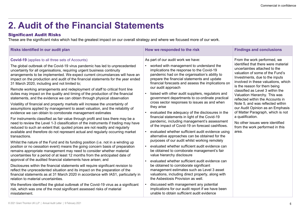### Significant Audit Risks

| <b>2. Audit of the Financial Statements</b><br><b>Significant Audit Risks</b><br>These are the significant risks which had the greatest impact on our overall strategy and where we focused more of our work.                                                                                                                                                                                                                                                                                                                                                                                                                                                                                                                                                                                                                                                                                                                                                                                                                                                                                                                                                                                                                                                                                                                                                                                                                                                                                                                                                                                                                                                                                                                                                                                                                                                                                                                                                                                                                                                                                                                               |                                                                                                                                                                                                                                                                                                                                                                                                                                                                                                                                                                                                                                                                                                                                                                                                                                                                                                                                                                                                                                                                                                                                                                                                                                                                                                                                                                    |                                                                                                                                                                                                                                                                                                                                                                                                                                                                                                                                                                          |  |  |  |  |  |  |  |
|---------------------------------------------------------------------------------------------------------------------------------------------------------------------------------------------------------------------------------------------------------------------------------------------------------------------------------------------------------------------------------------------------------------------------------------------------------------------------------------------------------------------------------------------------------------------------------------------------------------------------------------------------------------------------------------------------------------------------------------------------------------------------------------------------------------------------------------------------------------------------------------------------------------------------------------------------------------------------------------------------------------------------------------------------------------------------------------------------------------------------------------------------------------------------------------------------------------------------------------------------------------------------------------------------------------------------------------------------------------------------------------------------------------------------------------------------------------------------------------------------------------------------------------------------------------------------------------------------------------------------------------------------------------------------------------------------------------------------------------------------------------------------------------------------------------------------------------------------------------------------------------------------------------------------------------------------------------------------------------------------------------------------------------------------------------------------------------------------------------------------------------------|--------------------------------------------------------------------------------------------------------------------------------------------------------------------------------------------------------------------------------------------------------------------------------------------------------------------------------------------------------------------------------------------------------------------------------------------------------------------------------------------------------------------------------------------------------------------------------------------------------------------------------------------------------------------------------------------------------------------------------------------------------------------------------------------------------------------------------------------------------------------------------------------------------------------------------------------------------------------------------------------------------------------------------------------------------------------------------------------------------------------------------------------------------------------------------------------------------------------------------------------------------------------------------------------------------------------------------------------------------------------|--------------------------------------------------------------------------------------------------------------------------------------------------------------------------------------------------------------------------------------------------------------------------------------------------------------------------------------------------------------------------------------------------------------------------------------------------------------------------------------------------------------------------------------------------------------------------|--|--|--|--|--|--|--|
| Risks identified in our audit plan                                                                                                                                                                                                                                                                                                                                                                                                                                                                                                                                                                                                                                                                                                                                                                                                                                                                                                                                                                                                                                                                                                                                                                                                                                                                                                                                                                                                                                                                                                                                                                                                                                                                                                                                                                                                                                                                                                                                                                                                                                                                                                          | How we responded to the risk                                                                                                                                                                                                                                                                                                                                                                                                                                                                                                                                                                                                                                                                                                                                                                                                                                                                                                                                                                                                                                                                                                                                                                                                                                                                                                                                       | <b>Findings and conclusions</b>                                                                                                                                                                                                                                                                                                                                                                                                                                                                                                                                          |  |  |  |  |  |  |  |
| <b>Covid-19</b> (applies to all three sets of Accounts)<br>The global outbreak of the Covid-19 virus pandemic has led to unprecedented<br>uncertainty for all organisations, requiring urgent business continuity<br>arrangements to be implemented. We expect current circumstances will have an<br>impact on the production and audit of the financial statements for the year ended<br>31 March 2020, including and not limited to;<br>Remote working arrangements and redeployment of staff to critical front line<br>duties may impact on the quality and timing of the production of the financial<br>statements, and the evidence we can obtain through physical observation<br>Volatility of financial and property markets will increase the uncertainty of<br>assumptions applied by management to asset valuation, and the reliability of<br>evidence we can obtain to corroborate management estimates<br>For instruments classified as fair value through profit and loss there may be a<br>need to review the Level 1-3 classification of the instruments if trading may have<br>reduced to such an extent that. quoted prices are not readily and regularly<br>available and therefore do not represent actual and regularly occurring market<br>transactions.<br>Whilst the nature of the Fund and its funding position (i.e. not in a winding up<br>position or no cessation event) means the going concern basis of preparation<br>remains appropriate management may need to consider whether material<br>uncertainties for a period of at least 12 months from the anticipated date of<br>approval of the audited financial statements have arisen; and<br>Disclosures within the financial statements will require significant revision to<br>reflect the unprecedented situation and its impact on the preparation of the<br>financial statements as at 31 March 2020 in accordance with IAS1, particularly in<br>relation to material uncertainties.<br>We therefore identified the global outbreak of the Covid-19 virus as a significant<br>risk, which was one of the most significant assessed risks of material | As part of our audit work we have:<br>worked with management to understand the<br>implications the response to the Covid-19<br>pandemic had on the organisation's ability to<br>prepare the financial statements and update<br>financial forecasts and assess the implications on<br>our audit approach<br>liaised with other audit suppliers, regulators and<br>government departments to co-ordinate practical<br>cross sector responses to issues as and when<br>they arise<br>evaluated the adequacy of the disclosures in the<br>financial statements in light of the Covid-19<br>pandemic, including management's assessment<br>of the impact of Covid-19 on forecast cashflows.<br>evaluated whether sufficient audit evidence using<br>alternative approaches can be obtained for the<br>purposes of our audit whilst working remotely<br>evaluated whether sufficient audit evidence can<br>be obtained to corroborate management's fair<br>value hierarchy disclosure<br>evaluated whether sufficient audit evidence can<br>be obtained to corroborate significant<br>management estimates such as Level 3 asset<br>valuations, including direct property, along with<br>the Asbestosis Provision as well.<br>discussed with management any potential<br>implications for our audit report if we have been<br>unable to obtain sufficient audit evidence | From the work performed, we<br>identified that there were material<br>uncertainties attached to the<br>valuation of some of the Fund's<br>Investments, due to the inputs<br>involved in these valuations, which<br>is the reason for them being<br>classified as Level 3 within the<br>Valuation Hierarchy. This was<br>reflected within the Accounts in<br>Note 5, and was reflected within<br>our Audit Opinion as an Emphasis<br>of Matter Paragraph, which is not<br>a qualification.<br>No other issues were identified<br>from the work performed in this<br>area. |  |  |  |  |  |  |  |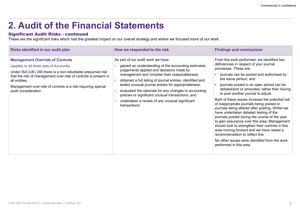|                                                                                                                                                                                                                                                                                                                                                                  |                                                                                                                                                                                                                                                                                                                                                                                                                                                                                                                              | Commercial in confidence                                                                                                                                                                                                                                                                                                                                                                                                                                                                                                                                                                                                                                                                                                                                                                                                                                            |
|------------------------------------------------------------------------------------------------------------------------------------------------------------------------------------------------------------------------------------------------------------------------------------------------------------------------------------------------------------------|------------------------------------------------------------------------------------------------------------------------------------------------------------------------------------------------------------------------------------------------------------------------------------------------------------------------------------------------------------------------------------------------------------------------------------------------------------------------------------------------------------------------------|---------------------------------------------------------------------------------------------------------------------------------------------------------------------------------------------------------------------------------------------------------------------------------------------------------------------------------------------------------------------------------------------------------------------------------------------------------------------------------------------------------------------------------------------------------------------------------------------------------------------------------------------------------------------------------------------------------------------------------------------------------------------------------------------------------------------------------------------------------------------|
| <b>2. Audit of the Financial Statements</b><br><b>Significant Audit Risks - continued</b><br>These are the significant risks which had the greatest impact on our overall strategy and where we focused more of our work.                                                                                                                                        |                                                                                                                                                                                                                                                                                                                                                                                                                                                                                                                              |                                                                                                                                                                                                                                                                                                                                                                                                                                                                                                                                                                                                                                                                                                                                                                                                                                                                     |
| Risks identified in our audit plan<br><b>Management Override of Controls</b><br>(applies to all three sets of Accounts)<br>Under ISA (UK) 240 there is a non-rebuttable presumed risk<br>that the risk of management over-ride of controls is present in<br>all entities.<br>Management over-ride of controls is a risk requiring special<br>audit consideration | How we responded to the risk<br>As part of our audit work we have:<br>gained an understanding of the accounting estimates,<br>judgements applied and decisions made by<br>management and consider their reasonableness;<br>obtained a full listing of journal entries, identified and<br>tested unusual journal entries for appropriateness;<br>evaluated the rationale for any changes in accounting<br>policies or significant unusual transactions; and<br>undertaken a review of any unusual significant<br>transactions | <b>Findings and conclusions</b><br>From the work performed, we identified two<br>deficiencies in respect of your journal<br>processes. These are:<br>journals can be posted and authorised by<br>the same person; and<br>journals posted in an open period can be<br>deleted/and or amended, rather than having<br>to post another journal to adjust.<br>Both of these issues increase the potential risk<br>of inappropriate journals being posted or<br>journals being altered after posting. Whilst we<br>have undertaken detailed testing of the<br>journals posted during the course of the year<br>to gain assurance over this area, Management<br>should look to strengthen their controls in this<br>area moving forward and we have raised a<br>recommendation to reflect this.<br>No other issues were identified from the work<br>performed in this area |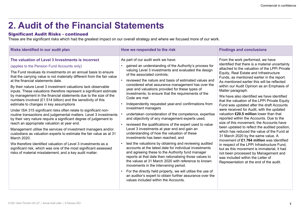| 2. Audit of the Financial Statements                                                                                                                                                                                                                                                                                                                                                                                                                                                                                                                                                                                                                                                                                                                                                                                                                                                                                                                                                                                                                                                                                                                                                                                          |                                                                                                                                                                                                                                                                                                                                                                                                                                                                                                                                                                                                                                                                                                                                                                                                                                                                                                                                                                                                                                                                                                                                                                                                                                                                                                                         |                                                                                                                                                                                                                                                                                                                                                                                                                                                                                                                                                                                                                                                                                                                                                                                                                                                                                                                                                                                                                                                                                   |
|-------------------------------------------------------------------------------------------------------------------------------------------------------------------------------------------------------------------------------------------------------------------------------------------------------------------------------------------------------------------------------------------------------------------------------------------------------------------------------------------------------------------------------------------------------------------------------------------------------------------------------------------------------------------------------------------------------------------------------------------------------------------------------------------------------------------------------------------------------------------------------------------------------------------------------------------------------------------------------------------------------------------------------------------------------------------------------------------------------------------------------------------------------------------------------------------------------------------------------|-------------------------------------------------------------------------------------------------------------------------------------------------------------------------------------------------------------------------------------------------------------------------------------------------------------------------------------------------------------------------------------------------------------------------------------------------------------------------------------------------------------------------------------------------------------------------------------------------------------------------------------------------------------------------------------------------------------------------------------------------------------------------------------------------------------------------------------------------------------------------------------------------------------------------------------------------------------------------------------------------------------------------------------------------------------------------------------------------------------------------------------------------------------------------------------------------------------------------------------------------------------------------------------------------------------------------|-----------------------------------------------------------------------------------------------------------------------------------------------------------------------------------------------------------------------------------------------------------------------------------------------------------------------------------------------------------------------------------------------------------------------------------------------------------------------------------------------------------------------------------------------------------------------------------------------------------------------------------------------------------------------------------------------------------------------------------------------------------------------------------------------------------------------------------------------------------------------------------------------------------------------------------------------------------------------------------------------------------------------------------------------------------------------------------|
| <b>Significant Audit Risks - continued</b><br>These are the significant risks which had the greatest impact on our overall strategy and where we focused more of our work.                                                                                                                                                                                                                                                                                                                                                                                                                                                                                                                                                                                                                                                                                                                                                                                                                                                                                                                                                                                                                                                    |                                                                                                                                                                                                                                                                                                                                                                                                                                                                                                                                                                                                                                                                                                                                                                                                                                                                                                                                                                                                                                                                                                                                                                                                                                                                                                                         |                                                                                                                                                                                                                                                                                                                                                                                                                                                                                                                                                                                                                                                                                                                                                                                                                                                                                                                                                                                                                                                                                   |
| Risks identified in our audit plan                                                                                                                                                                                                                                                                                                                                                                                                                                                                                                                                                                                                                                                                                                                                                                                                                                                                                                                                                                                                                                                                                                                                                                                            | How we responded to the risk                                                                                                                                                                                                                                                                                                                                                                                                                                                                                                                                                                                                                                                                                                                                                                                                                                                                                                                                                                                                                                                                                                                                                                                                                                                                                            | <b>Findings and conclusions</b>                                                                                                                                                                                                                                                                                                                                                                                                                                                                                                                                                                                                                                                                                                                                                                                                                                                                                                                                                                                                                                                   |
| The valuation of Level 3 Investments is incorrect<br>(applies to the Pension Fund Accounts only)<br>The Fund revalues its investments on an annual basis to ensure<br>that the carrying value is not materially different from the fair value<br>at the financial statements date.<br>By their nature Level 3 investment valuations lack observable<br>inputs. These valuations therefore represent a significant estimate<br>by management in the financial statements due to the size of the<br>numbers involved (£1.514 billion) and the sensitivity of this<br>estimate to changes in key assumptions<br>Under ISA 315 significant risks often relate to significant non-<br>routine transactions and judgemental matters. Level 3 investments<br>by their very nature require a significant degree of judgement to<br>reach an appropriate valuation at year end.<br>Management utilise the services of investment managers and/or<br>custodians as valuation experts to estimate the fair value as at 31<br>March 2020.<br>We therefore identified valuation of Level 3 investments as a<br>significant risk, which was one of the most significant assessed<br>risks of material misstatement, and a key audit matter. | As part of our audit work we have:<br>gained an understanding of the Authority's process for<br>valuing Level 3 investments and evaluated the design<br>of the associated controls;<br>reviewed the nature and basis of estimated values and<br>considered what assurance management has over the<br>year end valuations provided for these types of<br>investments; to ensure that the requirements of the<br>Code are met<br>Independently requested year-end confirmations from<br>investment managers<br>undertaken consideration of the competence, expertise<br>and objectivity of any management experts used;<br>reviewed the qualifications of the expert used to value<br>Level 3 investments at year end and gain an<br>understanding of how the valuation of these<br>investments has been reached; and<br>test the valuations by obtaining and reviewing audited<br>accounts at the latest date for individual investments<br>and agreeing these to the Authority fund manager<br>reports at that date then rationalising those values to<br>the values at 31 March 2020 with reference to known<br>movements in the intervening period.<br>For the directly held property, we will utilise the use of<br>an auditor's expert to obtain further assurance over the<br>values included within the Accounts. | From the work performed, we have<br>identified that there is a material uncertainty<br>attached to the valuation of the LPPi Private<br>Equity, Real Estate and Infrastructure<br>Funds, as mentioned earlier in the report.<br>As mentioned earlier this will be reflected<br>within our Audit Opinion as an Emphasis of<br>Matter paragraph.<br>We have also identified we have identified<br>that the valuation of the LPPi Private Equity<br>Fund was updated after the draft Accounts<br>were received for Audit, with the updated<br>valuation £20.5 million lower than that<br>reported within the Accounts. Due to the<br>size of this movement, the Accounts have<br>been updated to reflect the audited position,<br>which has reduced the value of the Fund at<br>31 March 2020 by the same value. A<br>movement of £1.764 million was identified<br>in respect of the LPPi Infrastructure Fund,<br>but as this movement is immaterial, it had<br>not been processed by Management and<br>was included within the Letter of<br>Representation at the end of the audit. |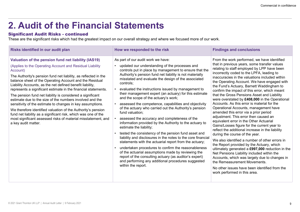|                                                                                                                                                                                                                                                                                                                                                                                                                                                                                                                                                                                                                                                                                                                                                                                                            |                                                                                                                                                                                                                                                                                                                                                                                                                                                                                                                                                                                                                                                                                                                                                                                                                                                                                                                                                                                                                                                                                                                                                            | Commercial in confidence                                                                                                                                                                                                                                                                                                                                                                                                                                                                                                                                                                                                                                                                                                                                                                                                                                                                                                                                                                                                                                                                                                                                                                                             |
|------------------------------------------------------------------------------------------------------------------------------------------------------------------------------------------------------------------------------------------------------------------------------------------------------------------------------------------------------------------------------------------------------------------------------------------------------------------------------------------------------------------------------------------------------------------------------------------------------------------------------------------------------------------------------------------------------------------------------------------------------------------------------------------------------------|------------------------------------------------------------------------------------------------------------------------------------------------------------------------------------------------------------------------------------------------------------------------------------------------------------------------------------------------------------------------------------------------------------------------------------------------------------------------------------------------------------------------------------------------------------------------------------------------------------------------------------------------------------------------------------------------------------------------------------------------------------------------------------------------------------------------------------------------------------------------------------------------------------------------------------------------------------------------------------------------------------------------------------------------------------------------------------------------------------------------------------------------------------|----------------------------------------------------------------------------------------------------------------------------------------------------------------------------------------------------------------------------------------------------------------------------------------------------------------------------------------------------------------------------------------------------------------------------------------------------------------------------------------------------------------------------------------------------------------------------------------------------------------------------------------------------------------------------------------------------------------------------------------------------------------------------------------------------------------------------------------------------------------------------------------------------------------------------------------------------------------------------------------------------------------------------------------------------------------------------------------------------------------------------------------------------------------------------------------------------------------------|
| 2. Audit of the Financial Statements<br><b>Significant Audit Risks - continued</b><br>These are the significant risks which had the greatest impact on our overall strategy and where we focused more of our work.<br>Risks identified in our audit plan                                                                                                                                                                                                                                                                                                                                                                                                                                                                                                                                                   | How we responded to the risk                                                                                                                                                                                                                                                                                                                                                                                                                                                                                                                                                                                                                                                                                                                                                                                                                                                                                                                                                                                                                                                                                                                               | <b>Findings and conclusions</b>                                                                                                                                                                                                                                                                                                                                                                                                                                                                                                                                                                                                                                                                                                                                                                                                                                                                                                                                                                                                                                                                                                                                                                                      |
| Valuation of the pension fund net liability (IAS19)<br>(Applies to the Operating Account and Residual Liability<br>Account)<br>The Authority's pension fund net liability, as reflected in the<br>balance sheet of the Operating Account and the Residual<br>Liability Accounts, as the net defined benefit liability,<br>represents a significant estimate in the financial statements.<br>The pension fund net liability is considered a significant<br>estimate due to the size of the numbers involved and the<br>sensitivity of the estimate to changes in key assumptions.<br>We therefore identified valuation of the Authority's pension<br>fund net liability as a significant risk, which was one of the<br>most significant assessed risks of material misstatement, and<br>a key audit matter. | As part of our audit work we have:<br>updated our understanding of the processes and<br>controls put in place by management to ensure that the<br>Authority's pension fund net liability is not materially<br>misstated and evaluate the design of the associated<br>controls;<br>evaluated the instructions issued by management to<br>their management expert (an actuary) for this estimate<br>and the scope of the actuary's work;<br>• assessed the competence, capabilities and objectivity<br>of the actuary who carried out the Authority's pension<br>fund valuation;<br>assessed the accuracy and completeness of the<br>information provided by the Authority to the actuary to<br>estimate the liability;<br>tested the consistency of the pension fund asset and<br>liability and disclosures in the notes to the core financial<br>statements with the actuarial report from the actuary;<br>undertaken procedures to confirm the reasonableness<br>of the actuarial assumptions made by reviewing the<br>report of the consulting actuary (as auditor's expert)<br>and performing any additional procedures suggested<br>within the report. | From the work performed, we have identified<br>that in previous years, some transfer values<br>relating to staff employed by LPP have been<br>incorrectly coded to the LPFA, leading to<br>inaccuracies in the valuations included within<br>the Operating Account. We have engaged with<br>the Fund's Actuary, Barnett Waddingham to<br>confirm the impact of this error, which meant<br>that the Gross Pensions Asset and Liability<br>were overstated by £408,000 in the Operational<br>Accounts. As this error is material for the<br>Operational Accounts, management have<br>amended this error via a prior period<br>adjustment. This error then caused an<br>equivalent error in the Other Actuarial<br>Gains/Losses figure for the current year to<br>reflect the additional increase in the liability<br>during the course of the year.<br>We also identified a number of other errors in<br>the Report provided by the Actuary, which<br>ultimately generated a £997,000 reduction in the<br>Net Pensions Liability included within the<br>Accounts, which was largely due to changes in<br>the Remeasurement Movements.<br>No other issues have been identified from the<br>work performed in this area. |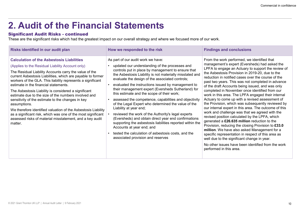| <b>2. Audit of the Financial Statements</b>                                                                                                                                                                                                                                                                                                                                                                                                                                                                                                                                                                                                                                                                                        |                                                                                                                                                                                                                                                                                                                                                                                                                                                                                                                                                                                                                                                                                                                                                                                                                                                                   |                                                                                                                                                                                                                                                                                                                                                                                                                                                                                                                                                                                                                                                                                                                                                                                                                                                                                                                                                                                                              |
|------------------------------------------------------------------------------------------------------------------------------------------------------------------------------------------------------------------------------------------------------------------------------------------------------------------------------------------------------------------------------------------------------------------------------------------------------------------------------------------------------------------------------------------------------------------------------------------------------------------------------------------------------------------------------------------------------------------------------------|-------------------------------------------------------------------------------------------------------------------------------------------------------------------------------------------------------------------------------------------------------------------------------------------------------------------------------------------------------------------------------------------------------------------------------------------------------------------------------------------------------------------------------------------------------------------------------------------------------------------------------------------------------------------------------------------------------------------------------------------------------------------------------------------------------------------------------------------------------------------|--------------------------------------------------------------------------------------------------------------------------------------------------------------------------------------------------------------------------------------------------------------------------------------------------------------------------------------------------------------------------------------------------------------------------------------------------------------------------------------------------------------------------------------------------------------------------------------------------------------------------------------------------------------------------------------------------------------------------------------------------------------------------------------------------------------------------------------------------------------------------------------------------------------------------------------------------------------------------------------------------------------|
| <b>Significant Audit Risks - continued</b>                                                                                                                                                                                                                                                                                                                                                                                                                                                                                                                                                                                                                                                                                         | These are the significant risks which had the greatest impact on our overall strategy and where we focused more of our work.                                                                                                                                                                                                                                                                                                                                                                                                                                                                                                                                                                                                                                                                                                                                      |                                                                                                                                                                                                                                                                                                                                                                                                                                                                                                                                                                                                                                                                                                                                                                                                                                                                                                                                                                                                              |
| Risks identified in our audit plan                                                                                                                                                                                                                                                                                                                                                                                                                                                                                                                                                                                                                                                                                                 | How we responded to the risk                                                                                                                                                                                                                                                                                                                                                                                                                                                                                                                                                                                                                                                                                                                                                                                                                                      | <b>Findings and conclusions</b>                                                                                                                                                                                                                                                                                                                                                                                                                                                                                                                                                                                                                                                                                                                                                                                                                                                                                                                                                                              |
| <b>Calculation of the Asbestosis Liabilities</b><br>(Applies to the Residual Liability Account only)<br>The Residual Liability Accounts carry the value of the<br>current Asbestosis Liabilities, which are payable to former<br>workers of the GLA. This liability represents a significant<br>estimate in the financial statements.<br>The Asbestosis Liability is considered a significant<br>estimate due to the size of the numbers involved and<br>sensitivity of the estimate to the changes in key<br>assumptions.<br>We therefore identified valuation of the Asbestosis Liability<br>as a significant risk, which was one of the most significant<br>assessed risks of material misstatement, and a key audit<br>matter. | As part of our audit work we have:<br>updated our understanding of the processes and<br>controls put in place by management to ensure that<br>the Asbestosis Liability is not materially misstated and<br>evaluate the design of the associated controls;<br>evaluated the instructions issued by management to<br>their management expert (Eversheds Sutherland) for<br>this estimate and the scope of their work;<br>assessed the competence, capabilities and objectivity<br>of the Legal Expert who determined the value of the<br>Liability at year end;<br>reviewed the work of the Authority's legal experts<br>(Eversheds) and obtain direct year end confirmations<br>supporting the asbestosis liabilities reported within the<br>Accounts at year end; and<br>tested the calculation of asbestosis costs, and the<br>associated provision and reserves | From the work performed, we identified that<br>management's expert (Eversheds) had asked the<br>LPFA to engage an Actuary to support the review of<br>the Asbestosis Provision in 2019-20, due to the<br>reduction in notified cases over the course of the<br>past two years. This was not completed in advance<br>of the draft Accounts being issued, and was only<br>completed in November once identified from our<br>work in this area. The LPFA engaged their internal<br>Actuary to come up with a revised assessment of<br>the Provision, which was subsequently reviewed by<br>our internal expert in this area. The outcome of this<br>work and challenge was that we agreed with the<br>revised position calculated by the LPFA, which<br>generated a £26.635 million reduction to the<br>Provision, reducing the closing Provision to £33.0<br>million. We have also asked Management for a<br>specific representation in respect of this area as<br>well due to the significant change in year. |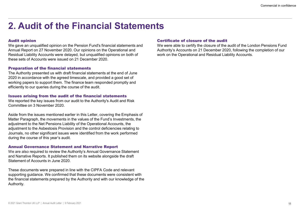#### Audit opinion

We gave an unqualified opinion on the Pension Fund's financial statements and Annual Report on 27 November 2020. Our opinions on the Operational and Residual Liability Accounts were delayed, but unqualified opinions on both of these sets of Accounts were issued on 21 December 2020.

#### Preparation of the financial statements

The Authority presented us with draft financial statements at the end of June 2020 in accordance with the agreed timescale, and provided a good set of working papers to support them. The finance team responded promptly and efficiently to our queries during the course of the audit.

#### Issues arising from the audit of the financial statements

We reported the key issues from our audit to the Authority's Audit and Risk Committee on 3 November 2020.

Aside from the issues mentioned earlier in this Letter, covering the Emphasis of Matter Paragraph, the movements in the values of the Fund's Investments, the adjustment to the Net Pensions Liability of the Operational Accounts, the adjustment to the Asbestosis Provision and the control deficiencies relating to Journals, no other significant issues were identified from the work performed during the course of this year's audit.

#### Annual Governance Statement and Narrative Report

We are also required to review the Authority's Annual Governance Statement and Narrative Reports. It published them on its website alongside the draft Statement of Accounts in June 2020.

These documents were prepared in line with the CIPFA Code and relevant supporting guidance. We confirmed that these documents were consistent with the financial statements prepared by the Authority and with our knowledge of the Authority.

#### Certificate of closure of the audit

We were able to certify the closure of the audit of the London Pensions Fund Authority's Accounts on 21 December 2020, following the completion of our work on the Operational and Residual Liability Accounts.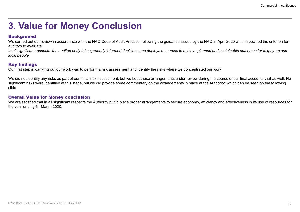## 3. Value for Money Conclusion

### **Background**

We carried out our review in accordance with the NAO Code of Audit Practice, following the guidance issued by the NAO in April 2020 which specified the criterion for auditors to evaluate:

In all significant respects, the audited body takes properly informed decisions and deploys resources to achieve planned and sustainable outcomes for taxpayers and local people.

### Key findings

Our first step in carrying out our work was to perform a risk assessment and identify the risks where we concentrated our work.

We did not identify any risks as part of our initial risk assessment, but we kept these arrangements under review during the course of our final accounts visit as well. No significant risks were identified at this stage, but we did provide some commentary on the arrangements in place at the Authority, which can be seen on the following slide.

### Overall Value for Money conclusion

We are satisfied that in all significant respects the Authority put in place proper arrangements to secure economy, efficiency and effectiveness in its use of resources for the year ending 31 March 2020.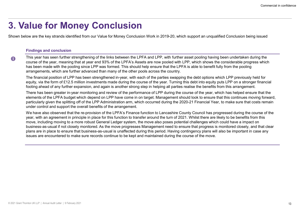### 3. Value for Money Conclusion

Shown below are the key strands identified from our Value for Money Conclusion Work in 2019-20, which support an unqualified Conclusion being issued

#### Findings and conclusion

 This year has seen further strengthening of the links between the LPFA and LPP, with further asset pooling having been undertaken during the course of the year, meaning that at year end 93% of the LPFA's Assets are now pooled with LPP, which shows the considerable progress which has been made with the pooling since LPP was formed. This should help ensure that the LPFA is able to benefit fully from the pooling arrangements, which are further advanced than many of the other pools across the country.

The financial position of LPP has been strengthened in-year, with each of the parties swapping the debt options which LPP previously held for equity, via the form of £12.5 million investments made during the course of the year. Turning this debt into equity puts LPP on a stronger financial footing ahead of any further expansion, and again is another strong step in helping all parties realise the benefits from this arrangement.

There has been greater in-year monitoring and review of the performance of LPP during the course of the year, which has helped ensure that the elements of the LPFA budget which depend on LPP have come in on target. Management should look to ensure that this continues moving forward, particularly given the splitting off of the LPP Administration arm, which occurred during the 2020-21 Financial Year, to make sure that costs remain under control and support the overall benefits of the arrangement.

We have also observed that the re-provision of the LPFA's Finance function to Lancashire County Council has progressed during the course of the year, with an agreement in principle in place for this function to transfer around the turn of 2021. Whilst there are likely to be benefits from this move, including moving to a more robust General Ledger system, the move also poses potential challenges which could have a impact on Findings and conclusion<br>Findings and conclusion<br>This was the swan further strengthening of the links between the LPFA and LPP with further asset pooling having been underlaken during the<br>This year has seen further strength plans are in place to ensure that business-as-usual is unaffected during this period. Having contingency plans will also be important in case any issues are encountered to make sure records continue to be kept and maintained during the course of the move.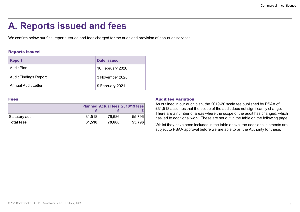### A. Reports issued and fees

### Reports issued

| A. Reports issued and fees                                                                                    |                  |                                         |                  |                                                                                                                     |
|---------------------------------------------------------------------------------------------------------------|------------------|-----------------------------------------|------------------|---------------------------------------------------------------------------------------------------------------------|
| We confirm below our final reports issued and fees charged for the audit and provision of non-audit services. |                  |                                         |                  |                                                                                                                     |
| <b>Reports issued</b>                                                                                         |                  |                                         |                  |                                                                                                                     |
| <b>Report</b>                                                                                                 |                  | <b>Date issued</b>                      |                  |                                                                                                                     |
| <b>Audit Plan</b>                                                                                             |                  | 10 February 2020                        |                  |                                                                                                                     |
| <b>Audit Findings Report</b>                                                                                  |                  | 3 November 2020                         |                  |                                                                                                                     |
| <b>Annual Audit Letter</b>                                                                                    |                  | 9 February 2021                         |                  |                                                                                                                     |
|                                                                                                               |                  |                                         |                  | <b>Audit fee variation</b>                                                                                          |
| <b>Fees</b>                                                                                                   |                  | <b>Planned Actual fees 2018/19 fees</b> |                  | As outlined in our audit plan, the 2019-20 scale fee pub<br>£31,518 assumes that the scope of the audit does not s  |
|                                                                                                               | £                | £                                       |                  |                                                                                                                     |
| Statutory audit<br><b>Total fees</b>                                                                          | 31,518<br>31,518 | 79,686<br>79,686                        | 55,796<br>55,796 | There are a number of areas where the scope of the au<br>has led to additional work. These are set out in the table |

### Fees and the contract of the contract of the contract of the contract of the contract of the contract of the contract of the contract of the contract of the contract of the contract of the contract of the contract of the c

|                 | Planned Actual fees 2018/19 fees |        |        |  |  |
|-----------------|----------------------------------|--------|--------|--|--|
|                 |                                  |        |        |  |  |
| Statutory audit | 31.518                           | 79.686 | 55,796 |  |  |
| Total fees      | 31.518                           | 79.686 | 55,796 |  |  |

#### Audit fee variation

 $\frac{\epsilon}{\epsilon}$   $\frac{\epsilon}{\epsilon}$   $\frac{\epsilon}{\epsilon}$  There are a number of areas where the scope of the audit has changed, which 2018/19 fees £31,518 assumes that the scope of the audit does not significantly change. As outlined in our audit plan, the 2019-20 scale fee published by PSAA of has led to additional work. These are set out in the table on the following page.

> Whilst they have been included in the table above, the additional elements are subject to PSAA approval before we are able to bill the Authority for these.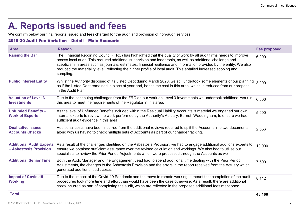## A. Reports issued and fees

|                                                           |                                                                                                                                                                                                                                                                                                                                                                                                                                                                                              | Commercial in confidence |
|-----------------------------------------------------------|----------------------------------------------------------------------------------------------------------------------------------------------------------------------------------------------------------------------------------------------------------------------------------------------------------------------------------------------------------------------------------------------------------------------------------------------------------------------------------------------|--------------------------|
|                                                           | A. Reports issued and fees                                                                                                                                                                                                                                                                                                                                                                                                                                                                   |                          |
|                                                           | We confirm below our final reports issued and fees charged for the audit and provision of non-audit services.                                                                                                                                                                                                                                                                                                                                                                                |                          |
|                                                           | 2019-20 Audit Fee Variation - Detail - Main Accounts                                                                                                                                                                                                                                                                                                                                                                                                                                         |                          |
| <b>Area</b>                                               | <b>Reason</b>                                                                                                                                                                                                                                                                                                                                                                                                                                                                                | <b>Fee proposed</b>      |
| <b>Raising the Bar</b>                                    | The Financial Reporting Council (FRC) has highlighted that the quality of work by all audit firms needs to improve<br>across local audit. This required additional supervision and leadership, as well as additional challenge and<br>scepticism in areas such as journals, estimates, financial resilience and information provided by the entity. We also<br>reduced the materiality level, reflecting the higher profile of local audit. This entailed increased scoping and<br>sampling. | 6,000                    |
| <b>Public Interest Entity</b>                             | Whilst the Authority disposed of its Listed Debt during March 2020, we still undertook some elements of our planning $\mid$ 3,000<br>as if the Listed Debt remained in place at year end, hence the cost in this area, which is reduced from our proposal<br>in the Audit Plan.                                                                                                                                                                                                              |                          |
| <b>Valuation of Level 3</b><br><b>Investments</b>         | Due to the continuing challenges from the FRC on our work on Level 3 Investments we undertook additional work in<br>this area to meet the requirements of the Regulator in this area.                                                                                                                                                                                                                                                                                                        | 6,000                    |
| <b>Unfunded Benefits -</b><br><b>Work of Experts</b>      | As the level of Unfunded Benefits included within the Residual Liability Accounts is material we engaged our own<br>internal experts to review the work performed by the Authority's Actuary, Barnett Waddingham, to ensure we had<br>sufficient audit evidence in this area.                                                                                                                                                                                                                | 5,000                    |
| <b>Qualitative Issues -</b><br><b>Accounts Checks</b>     | Additional costs have been incurred from the additional reviews required to split the Accounts into two documents,<br>along with us having to check multiple sets of Accounts as part of our change tracking.                                                                                                                                                                                                                                                                                | 2,556                    |
| <b>Additional Audit Experts</b><br>- Asbestosis Provision | As a result of the challenges identified on the Asbestosis Provision, we had to engage additional auditor's experts to<br>ensure we obtained sufficient assurance over the revised calculation and workings. We also had to utilise our<br>specialists to review the Prior Period Adjustments which were processed through the Accounts as well.                                                                                                                                             | 10,000                   |
| <b>Additional Senior Time</b>                             | Both the Audit Manager and the Engagement Lead had to spend additional time dealing with the Prior Period<br>Adjustments, the changes to the Asbestosis Provision and the errors in the report received from the Actuary which<br>generated additional audit costs.                                                                                                                                                                                                                          | 7,500                    |
| <b>Impact of Covid-19</b><br><b>Working</b>               | Due to the impact of the Covid-19 Pandemic and the move to remote working, it meant that completion of the audit<br>procedures took more time and effort than would have been the case otherwise. As a result, there are additional<br>costs incurred as part of completing the audit, which are reflected in the proposed additional fees mentioned.                                                                                                                                        | 8,112                    |
|                                                           |                                                                                                                                                                                                                                                                                                                                                                                                                                                                                              | 48,168                   |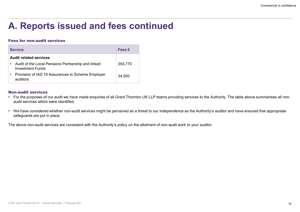### A. Reports issued and fees continued

#### Fees for non-audit services

|                                                                                            |               | Commercial in confidence                                                                                                                                           |
|--------------------------------------------------------------------------------------------|---------------|--------------------------------------------------------------------------------------------------------------------------------------------------------------------|
|                                                                                            |               |                                                                                                                                                                    |
| A. Reports issued and fees continued                                                       |               |                                                                                                                                                                    |
| <b>Fees for non-audit services</b>                                                         |               |                                                                                                                                                                    |
| <b>Service</b>                                                                             | <b>Fees £</b> |                                                                                                                                                                    |
| <b>Audit related services</b>                                                              |               |                                                                                                                                                                    |
| Audit of the Local Pensions Partnership and linked<br>$\bullet$<br><b>Investment Funds</b> | 354,770       |                                                                                                                                                                    |
| Provision of IAS 19 Assurances to Scheme Employer<br>$\bullet$<br>auditors                 | 34,500        |                                                                                                                                                                    |
|                                                                                            |               |                                                                                                                                                                    |
| <b>Non-audit services</b><br>audit services which were identified.                         |               | • For the purposes of our audit we have made enquiries of all Grant Thornton UK LLP teams providing services to the Authority. The table above summarises all non- |
|                                                                                            |               |                                                                                                                                                                    |

#### Non-audit services

- audit services which were identified.
- safeguards are put in place.